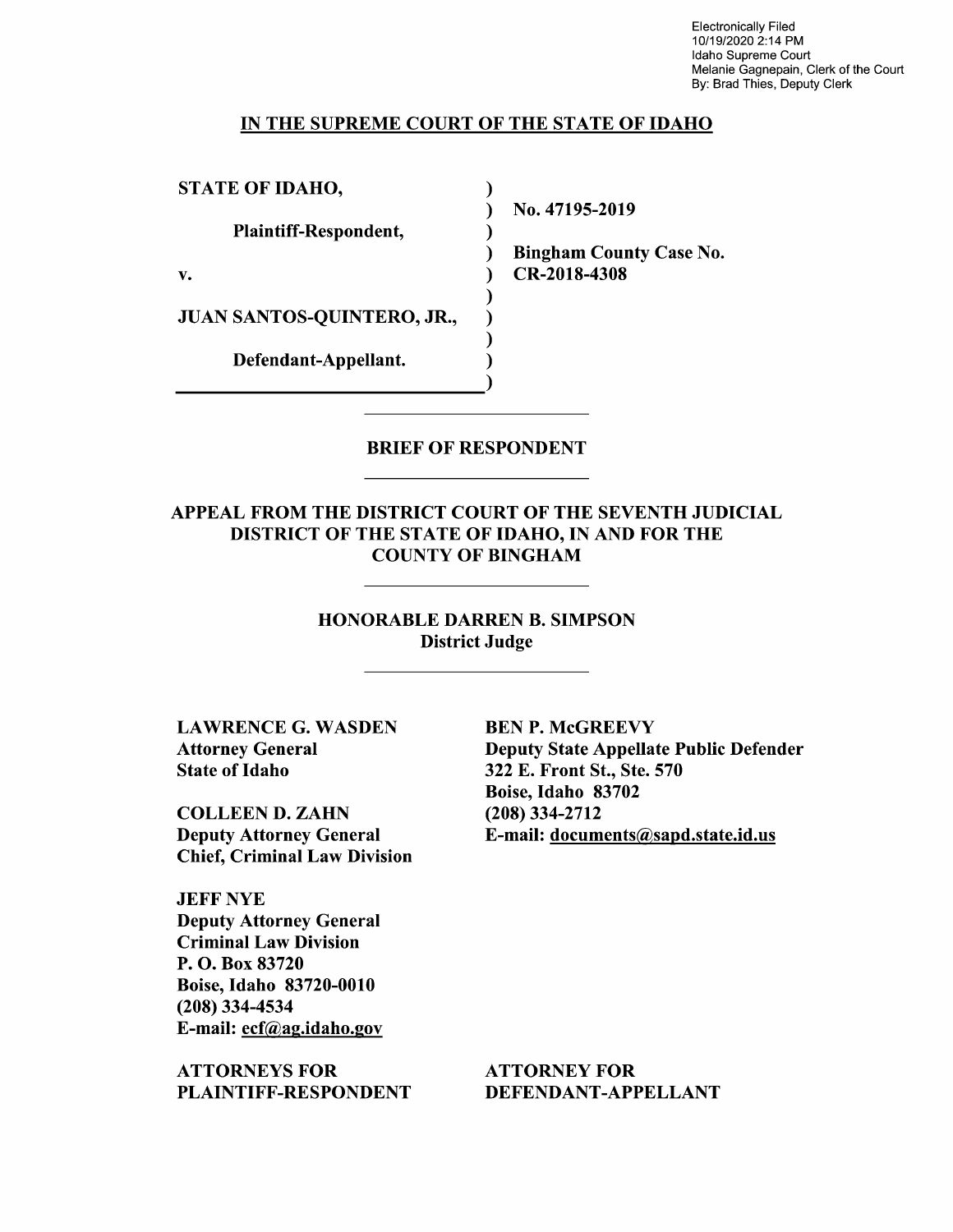Electronically Filed 10/19/2020 2:14 PM Idaho Supreme Court Melanie Gagnepain, Clerk of the Court By: Brad Thies, Deputy Clerk

#### IN THE SUPREME COURT OF THE STATE OF IDAHO

 $\lambda$ 

STATE OF IDAHO,

Plaintiff—Respondent,

JUAN SANTOS-QUINTERO, JR.,

Defendant—Appellant.

N0. 47195-2019

Bingham County Case No. v. (a) CR-2018-4308

BRIEF OF RESPONDENT

APPEAL FROM THE DISTRICT COURT OF THE SEVENTH JUDICIAL DISTRICT OF THE STATE OF IDAHO, IN AND FOR THE COUNTY OF BINGHAM

> HONORABLE DARREN B. SIMPSON District Judge

LAWRENCE G. WASDEN BEN P. McGREEVY State of Idaho 322 E. Front St., Ste. 570

COLLEEN D. ZAHN (208) 334-2712 Chief, Criminal Law Division

JEFF NYE Deputy Attorney General Criminal Law Division P. O. Box 83720 Boise, Idaho 83720-0010 (208) 334-4534 E-mail: ecf@ag.idah0.gov

ATTORNEYS FOR ATTORNEY FOR PLAINTIFF-RESPONDENT DEFENDANT-APPELLANT

Attorney General Deputy State Appellate Public Defender Boise, Idaho 83702 Deputy Attorney General E-mail: documents@sapd.state.id.us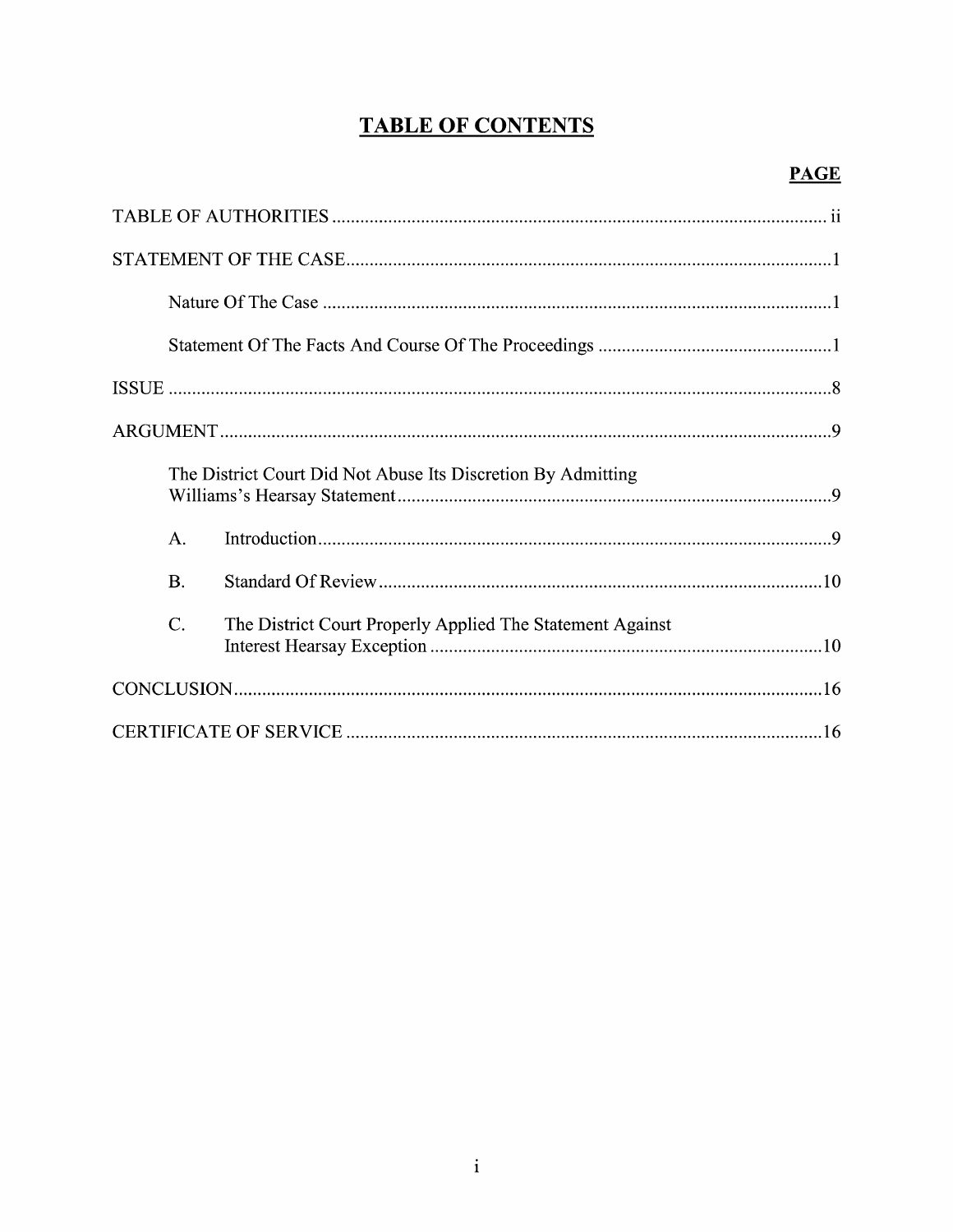# **TABLE OF CONTENTS**

|           | The District Court Did Not Abuse Its Discretion By Admitting |  |
|-----------|--------------------------------------------------------------|--|
| A.        |                                                              |  |
| <b>B.</b> |                                                              |  |
| $C$ .     | The District Court Properly Applied The Statement Against    |  |
|           |                                                              |  |
|           |                                                              |  |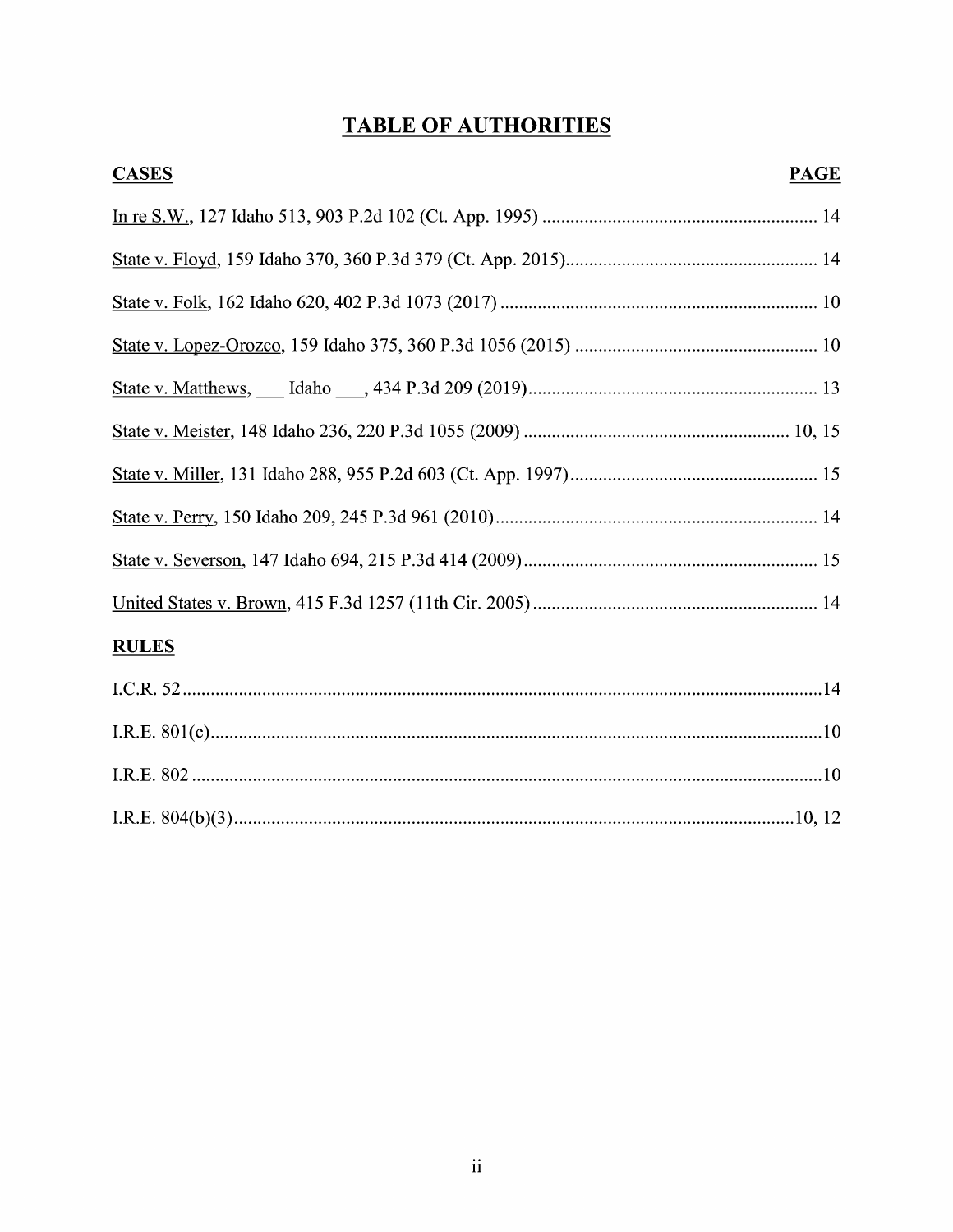# **TABLE OF AUTHORITIES**

| <b>CASES</b> | <b>PAGE</b> |
|--------------|-------------|
|              |             |
|              |             |
|              |             |
|              |             |
|              |             |
|              |             |
|              |             |
|              |             |
|              |             |
|              |             |
| <b>RULES</b> |             |
|              |             |
|              |             |
|              |             |
|              |             |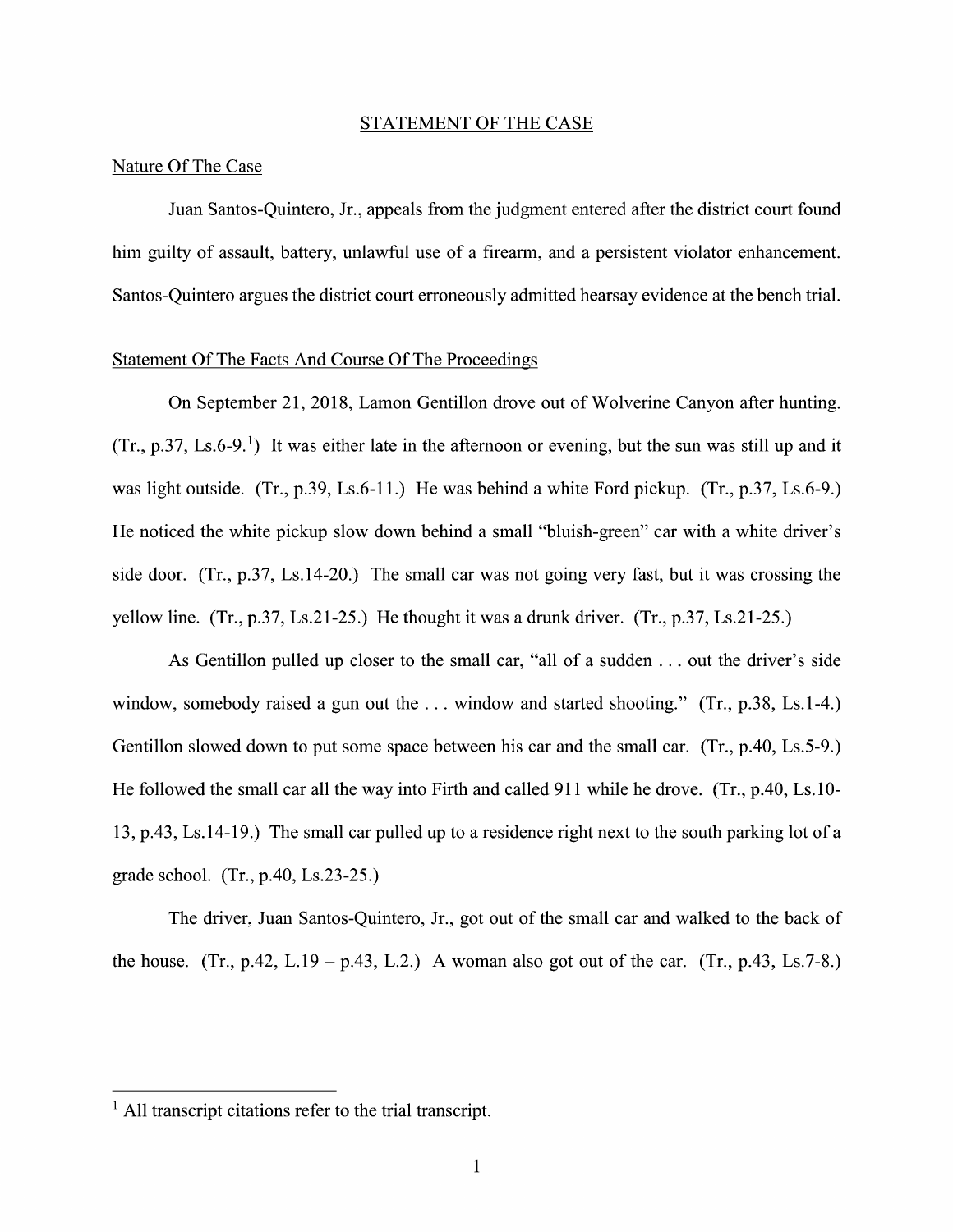#### STATEMENT OF THE CASE

### Nature Of The Case

Juan Santos-Quintero, Jr., appeals from the judgment entered after the district court found him guilty of assault, battery, unlawful use of a firearm, and a persistent violator enhancement. Santos—Quintero argues the district court erroneously admitted hearsay evidence at the bench trial.

## Statement Of The Facts And Course Of The Proceedings

On September 21, 2018, Lamon Gentillon drove out of Wolverine Canyon after hunting.  $(Tr, p.37, Ls.6-9<sup>1</sup>)$  It was either late in the afternoon or evening, but the sun was still up and it was light outside. (Tr., p.39, Ls.6-11.) He was behind a white Ford pickup. (Tr., p.37, Ls.6-9.) He noticed the white pickup slow down behind a small "bluish-green" car with a white driver's side door. (Tr.,  $p.37$ , Ls.14-20.) The small car was not going very fast, but it was crossing the yellow line.  $(Tr, p.37, Ls.21-25.)$  He thought it was a drunk driver.  $(Tr, p.37, Ls.21-25.)$ 

As Gentillon pulled up closer to the small car, "all of a sudden  $\dots$  out the driver's side window, somebody raised a gun out the ... window and started shooting." (Tr., p.38, Ls.1-4.) Gentillon slowed down to put some space between his car and the small car. (Tr., p.40, Ls.5-9.) He followed the small car all the way into Firth and called 911 while he drove. (Tr.,  $p.40$ , Ls. 10-13, p.43, Ls. 14-19.) The small car pulled up to a residence right next to the south parking lot of a grade school. (Tr., p.40, Ls.23-25.)

The driver, Juan Santos-Quintero, Jr., got out 0f the small car and walked to the back of the house. (Tr., p.42, L.19 – p.43, L.2.) A woman also got out of the car. (Tr., p.43, Ls.7-8.)

 $<sup>1</sup>$  All transcript citations refer to the trial transcript.</sup>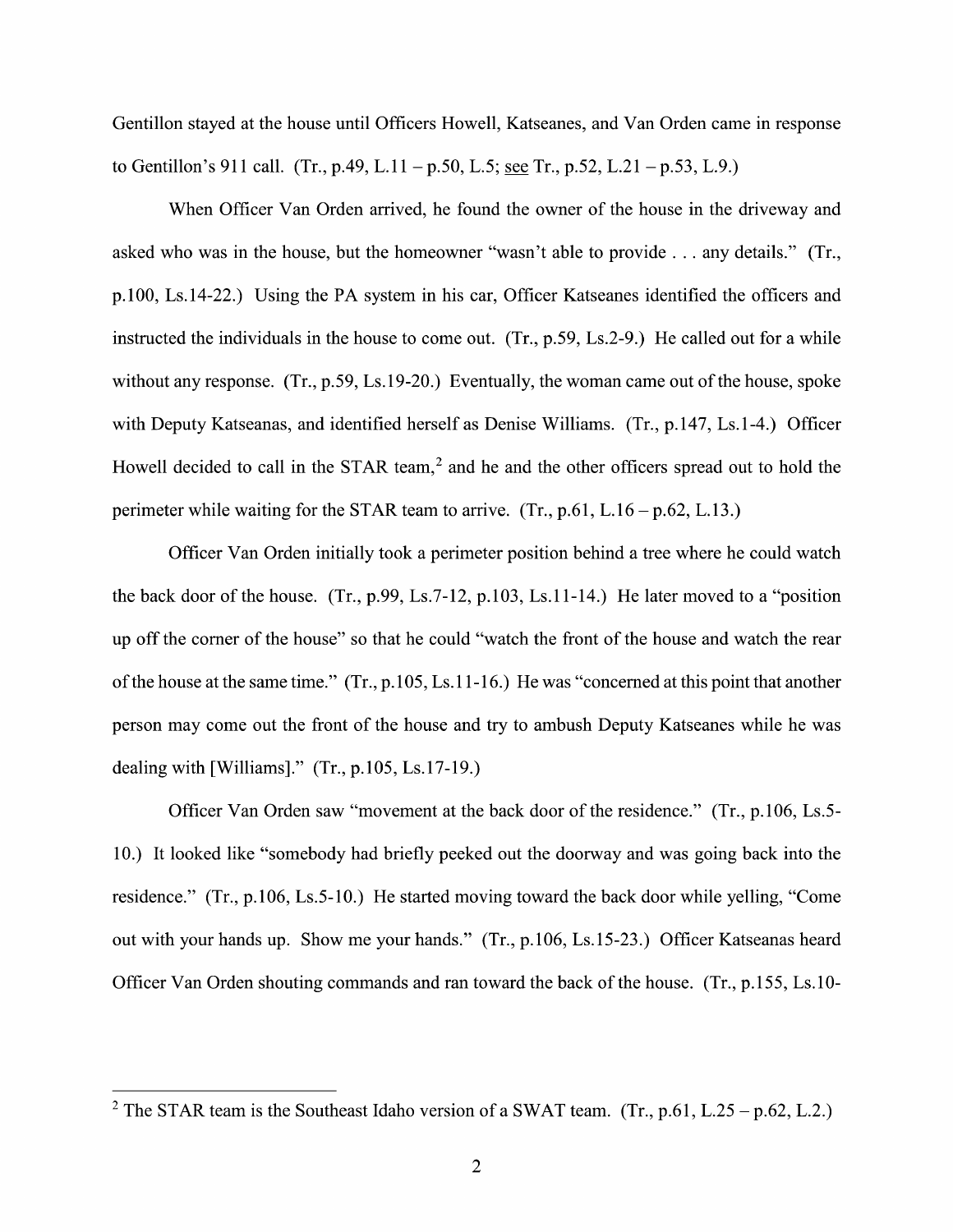Gentillon stayed at the house until Officers Howell, Katseanes, and Van Orden came in response to Gentillon's 911 call. (Tr., p.49, L.11 – p.50, L.5; see Tr., p.52, L.21 – p.53, L.9.)

When Officer Van Orden arrived, he found the owner of the house in the driveway and asked who was in the house, but the homeowner "wasn't able to provide  $\dots$  any details." (Tr., p.100, Ls.14-22.) Using the PA system in his car, Officer Katseanes identified the officers and instructed the individuals in the house to come out.  $(Tr, p.59, Ls.2-9)$ . He called out for a while without any response. (Tr., p.59, Ls.19-20.) Eventually, the woman came out of the house, spoke with Deputy Katseanas, and identified herself as Denise Williams. (Tr., p.147, Ls.1-4.) Officer Howell decided to call in the STAR team,<sup>2</sup> and he and the other officers spread out to hold the perimeter while waiting for the STAR team to arrive.  $(Tr., p.61, L.16 - p.62, L.13.)$ 

Officer Van Orden initially took a perimeter position behind a tree where he could watch the back door of the house. (Tr., p.99, Ls.7-12, p.103, Ls.11-14.) He later moved to a "position" up off the corner of the house" so that he could "watch the front of the house and watch the rear of the house at the same time." (Tr., p.105, Ls.11-16.) He was "concerned at this point that another person may come out the front 0f the house and try t0 ambush Deputy Katseanes While he was dealing with [Williams]." (Tr., p.105, Ls.17-19.)

Officer Van Orden saw "movement at the back door 0f the residence." (Tr., p. 106, Ls.5- 10.) It looked like "somebody had briefly peeked out the doorway and was going back into the residence." (Tr., p.106, Ls.5-10.) He started moving toward the back door while yelling, "Come out with your hands up. Show me your hands." (Tr., p.106, Ls.15-23.) Officer Katseanas heard Officer Van Orden shouting commands and ran toward the back 0f the house. (Tr., p.155, Ls. 10-

<sup>&</sup>lt;sup>2</sup> The STAR team is the Southeast Idaho version of a SWAT team. (Tr., p.61, L.25 – p.62, L.2.)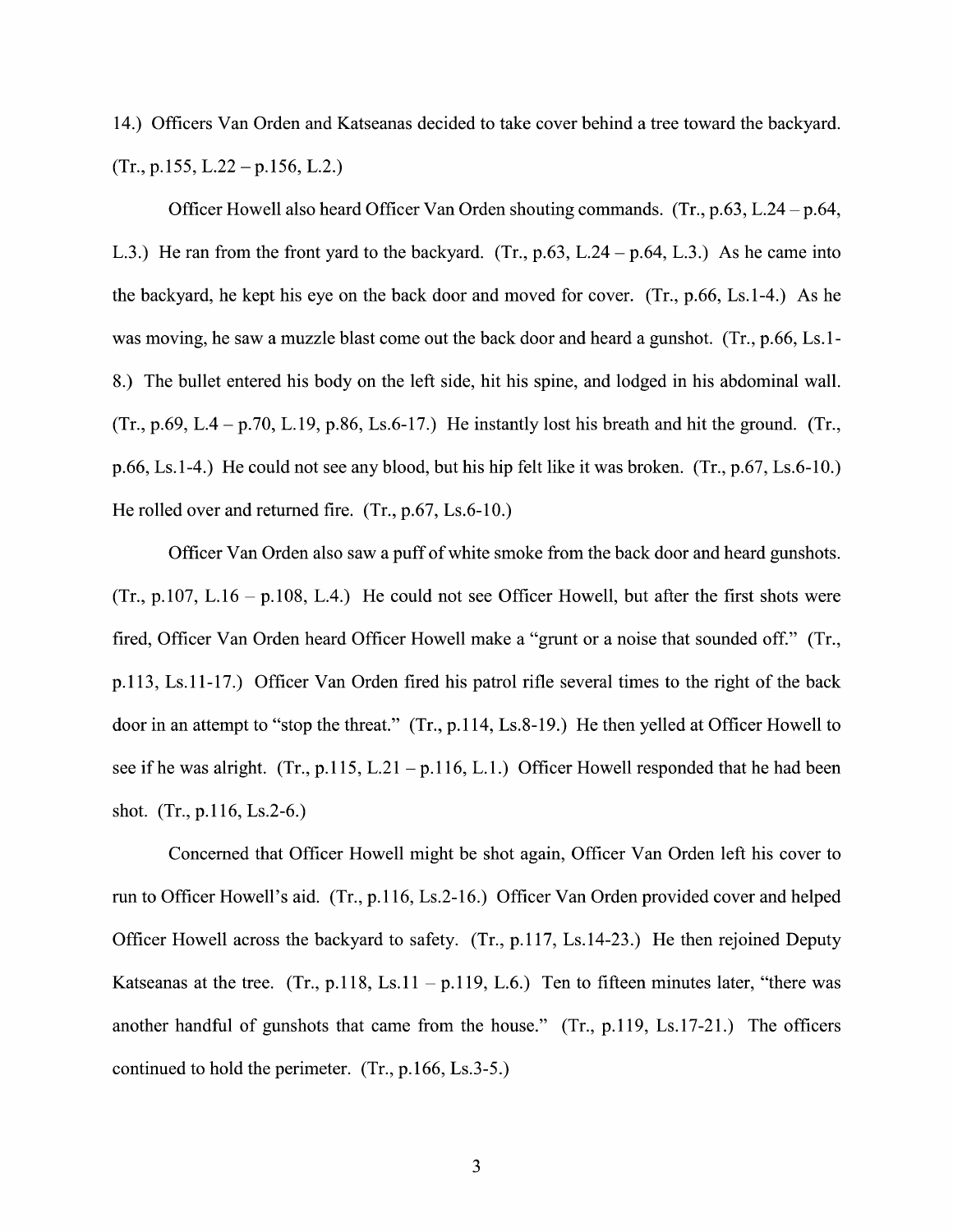14.) Officers Van Orden and Katseanas decided to take cover behind a tree toward the backyard.  $(Tr., p.155, L.22 - p.156, L.2.)$ 

Officer Howell also heard Officer Van Orden shouting commands. (Tr.,  $p.63$ , L.24 -  $p.64$ , L.3.) He ran from the front yard to the backyard. (Tr.,  $p.63$ , L.24 –  $p.64$ , L.3.) As he came into the backyard, he kept his eye on the back door and moved for cover. (Tr., p.66, Ls.1-4.) As he was moving, he saw a muzzle blast come out the back door and heard a gunshot.  $(Tr, p.66, Ls.1$ 8.) The bullet entered his body 0n the left side, hit his spine, and lodged in his abdominal wall.  $(Tr, p.69, L.4 - p.70, L.19, p.86, Ls.6-17.)$  He instantly lost his breath and hit the ground. (Tr.,  $p.66$ , Ls.1-4.) He could not see any blood, but his hip felt like it was broken. (Tr.,  $p.67$ , Ls.6-10.) He rolled over and returned fire. (Tr., p.67, Ls.6-10.)

Officer Van Orden also saw a puff of white smoke from the back door and heard gunshots. (Tr., p.107, L.16 – p.108, L.4.) He could not see Officer Howell, but after the first shots were fired, Officer Van Orden heard Officer Howell make a "grunt or a noise that sounded off." (Tr., p.1 13, Ls.1 1-17.) Officer Van Orden fired his patrol rifle several times t0 the right 0f the back door in an attempt to "stop the threat." (Tr., p.114, Ls.8-19.) He then yelled at Officer Howell to see if he was alright. (Tr., p.115, L.21 – p.116, L.1.) Officer Howell responded that he had been shot. (Tr., p.1 16, Ls.2-6.)

Concerned that Officer Howell might be shot again, Officer Van Orden left his cover t0 run to Officer Howell's aid. (Tr., p.116, Ls.2-16.) Officer Van Orden provided cover and helped Officer Howell across the backyard to safety.  $(Tr, p.117, Ls.14-23)$ . He then rejoined Deputy Katseanas at the tree. (Tr., p.118, Ls.11 – p.119, L.6.) Ten to fifteen minutes later, "there was another handful 0f gunshots that came from the house." (Tr., p.119, Ls.17-21.) The officers continued t0 hold the perimeter. (Tr., p.166, Ls.3-5.)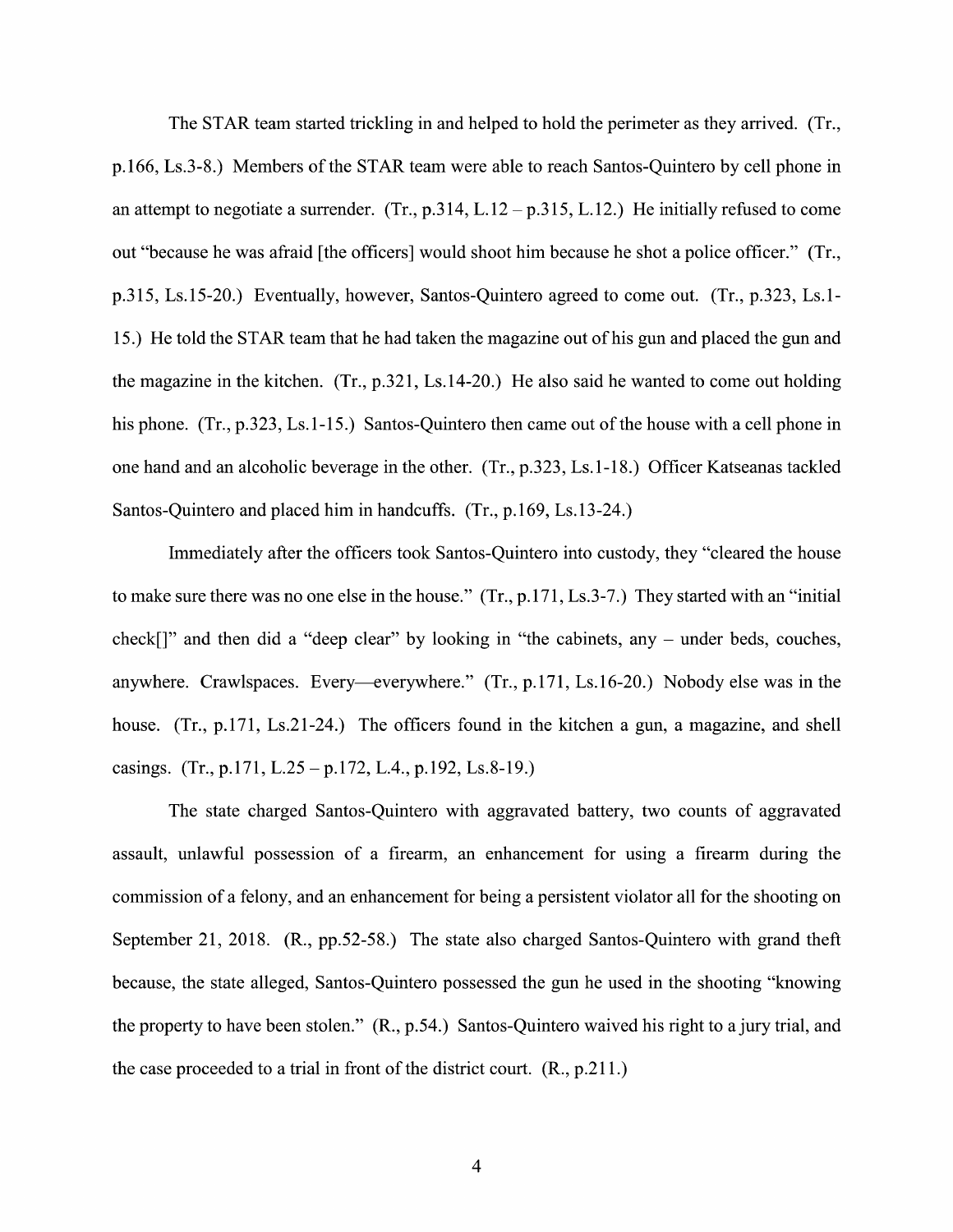The STAR team started trickling in and helped to hold the perimeter as they arrived. (Tr., p.166, Ls.3-8.) Members of the STAR team were able to reach Santos-Quintero by cell phone in an attempt to negotiate a surrender. (Tr.,  $p.314$ , L.12 -  $p.315$ , L.12.) He initially refused to come out "because he was afraid [the officers] would shoot him because he shot police officer." (Tr., p.315, Ls.15-20.) Eventually, however, Santos-Quintero agreed to come out. (Tr., p.323, Ls.1-15.) He told the STAR team that he had taken the magazine out of his gun and placed the gun and the magazine in the kitchen. (Tr., p.321, Ls.14-20.) He also said he wanted to come out holding his phone. (Tr., p.323, Ls.1-15.) Santos-Quintero then came out of the house with a cell phone in one hand and an alcoholic beverage in the other.  $(Tr, p.323, Ls.1-18)$  Officer Katseanas tackled Santos-Quintero and placed him in handcuffs. (Tr., p.169, Ls.13-24.)

Immediately after the officers took Santos—Quintero into custody, they "cleared the house to make sure there was no one else in the house."  $(Tr, p.171, Ls.3-7)$  They started with an "initial" check $[$ ]" and then did a "deep clear" by looking in "the cabinets, any  $-$  under beds, couches, anywhere. Crawlspaces. Every—everywhere."  $(Tr, p.171, Ls.16-20)$  Nobody else was in the house. (Tr., p.171, Ls.21-24.) The officers found in the kitchen a gun, a magazine, and shell casings. (Tr., p.171, L.25 – p.172, L.4., p.192, Ls.8-19.)

The state charged Santos—Quintero With aggravated battery, two counts of aggravated assault, unlawful possession of a firearm, an enhancement for using a firearm during the commission of a felony, and an enhancement for being a persistent violator all for the shooting on September 21, 2018. (R., pp.52-58.) The state also charged Santos-Quintero with grand theft because, the state alleged, Santos—Quintero possessed the gun he used in the shooting "knowing the property to have been stolen."  $(R., p.54.)$  Santos-Quintero waived his right to a jury trial, and the case proceeded to a trial in front of the district court.  $(R., p.211.)$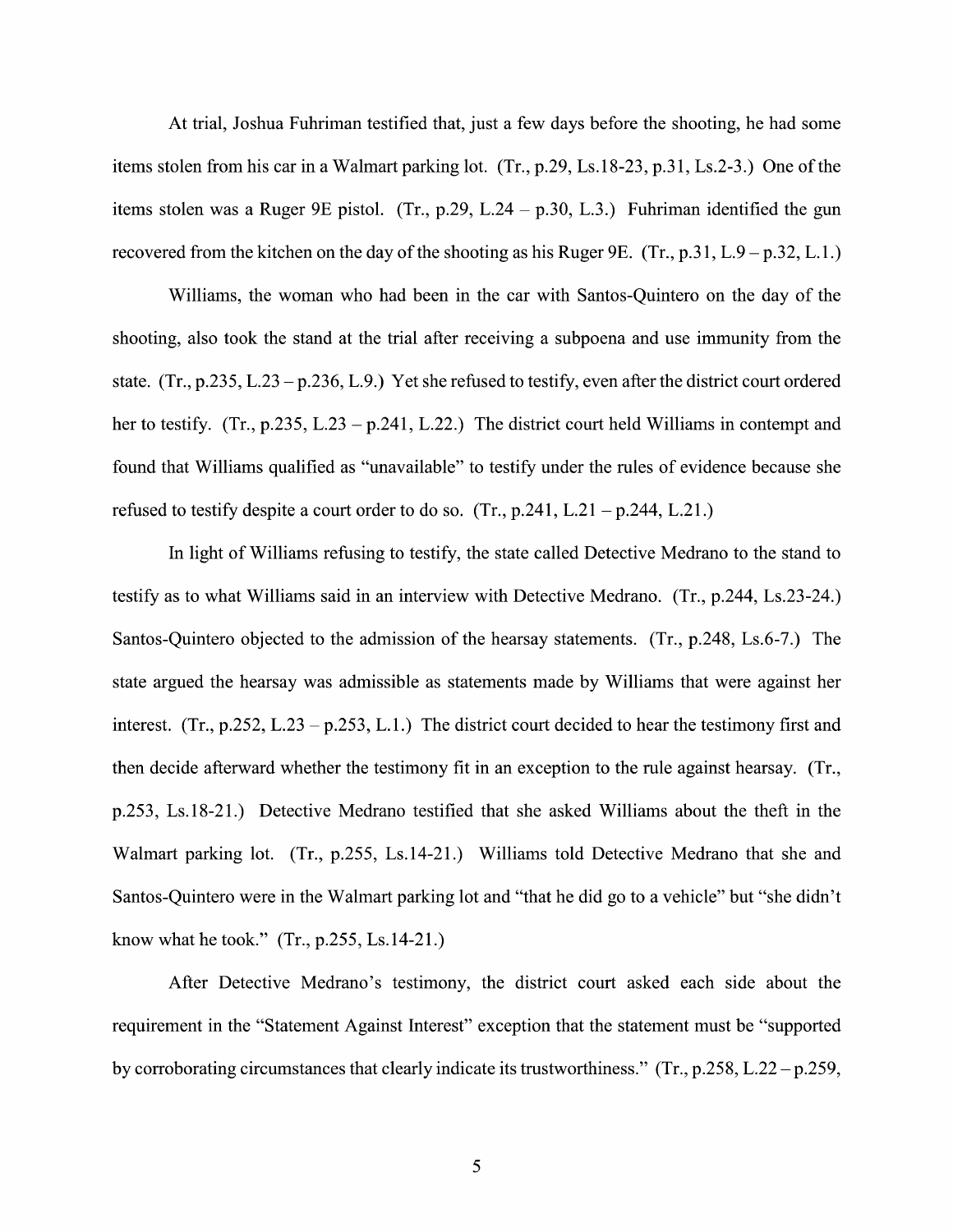At trial, Joshua Fuhriman testified that, just a few days before the shooting, he had some items stolen from his car in a Walmart parking lot.  $(Tr., p.29, Ls.18-23, p.31, Ls.2-3.)$  One of the items stolen was a Ruger 9E pistol. (Tr., p.29, L.24 – p.30, L.3.) Fuhriman identified the gun recovered from the kitchen on the day of the shooting as his Ruger 9E. (Tr., p.31, L.9 – p.32, L.1.)

Williams, the woman who had been in the car with Santos-Quintero on the day of the shooting, also took the stand at the trial after receiving a subpoena and use immunity from the state. (Tr., p.235, L.23 – p.236, L.9.) Yet she refused to testify, even after the district court ordered her to testify. (Tr., p.235, L.23 – p.241, L.22.) The district court held Williams in contempt and found that Williams qualified as "unavailable" to testify under the rules of evidence because she refused to testify despite a court order to do so. (Tr., p.241, L.21 – p.244, L.21.)

In light of Williams refusing to testify, the state called Detective Medrano to the stand to testify as to What Williams said in an interview With Detective Medrano. (Tr., p.244, Ls.23-24.) Santos-Quintero objected to the admission of the hearsay statements. (Tr., p.248, Ls.6-7.) The state argued the hearsay was admissible as statements made by Williams that were against her interest. (Tr., p.252, L.23 – p.253, L.1.) The district court decided to hear the testimony first and then decide afterward whether the testimony fit in an exception to the rule against hearsay. (Tr., p.253, Ls.18-21.) Detective Medrano testified that she asked Williams about the theft in the Walmart parking lot. (Tr., p.255, Ls.14-21.) Williams told Detective Medrano that she and Santos-Quintero were in the Walmart parking lot and "that he did go to a vehicle" but "she didn't know What he took." (Tr., p.255, Ls.14-21.)

After Detective Medrano's testimony, the district court asked each side about the requirement in the "Statement Against Interest" exception that the statement must be "supported by corroborating circumstances that clearly indicate its trustworthiness." (Tr., p.258, L.22 – p.259,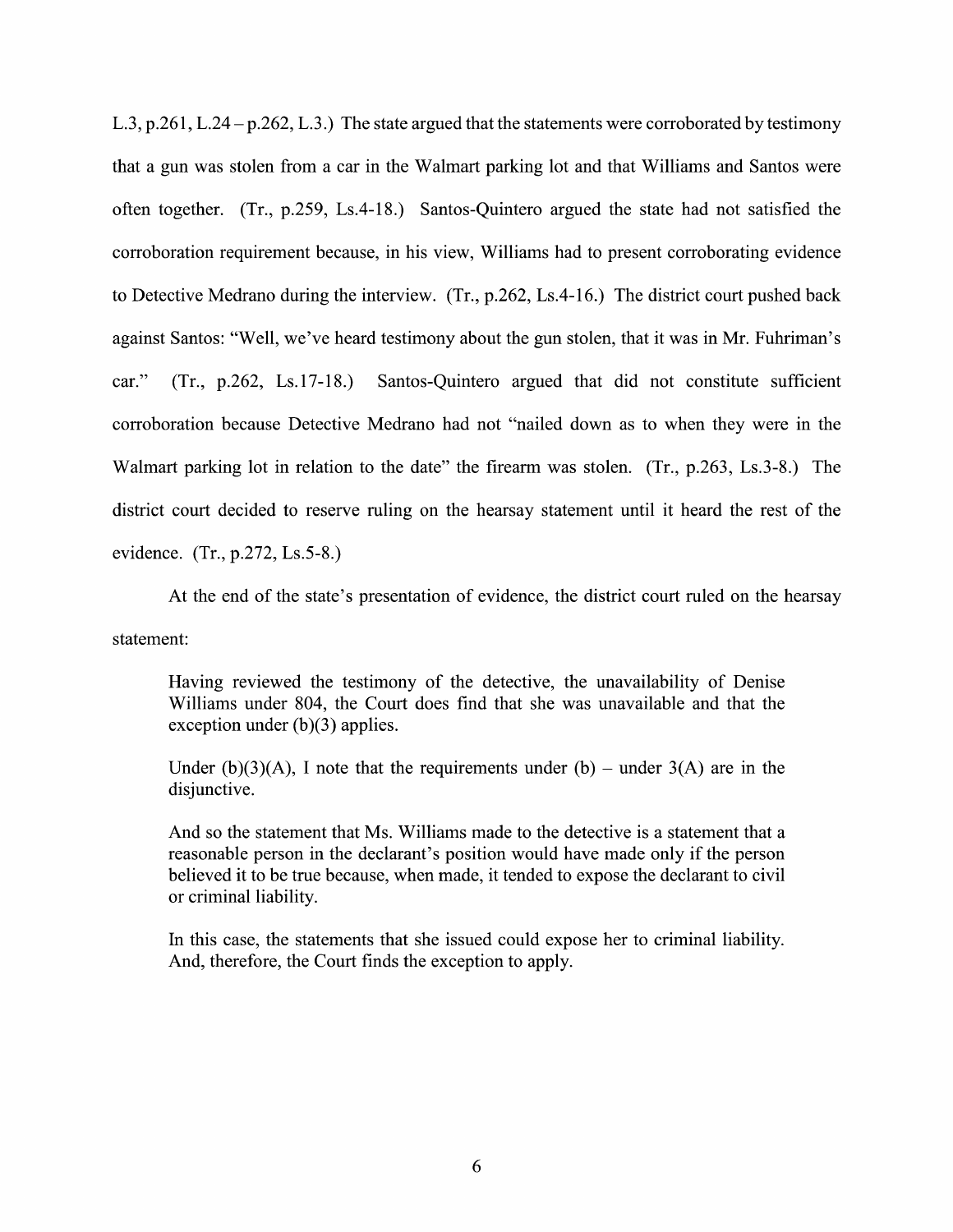L.3, p.261, L.24 – p.262, L.3.) The state argued that the statements were corroborated by testimony that a gun was stolen from a car in the Walmart parking lot and that Williams and Santos were often together. (Tr., p.259, Ls.4-18.) Santos-Quintero argued the state had not satisfied the corroboration requirement because, in his view, Williams had to present corroborating evidence to Detective Medrano during the interview.  $(Tr, p.262, Ls.4-16)$  The district court pushed back against Santos: "Well, we've heard testimony about the gun stolen, that it was in Mr. Fuhriman's car."  $(Tr, p.262, Ls.17-18.)$  Santos-Quintero argued that did not constitute sufficient corroboration because Detective Medrano had not "nailed down as to when they were in the Walmart parking lot in relation to the date" the firearm was stolen. (Tr., p.263, Ls.3-8.) The district court decided to reserve ruling on the hearsay statement until it heard the rest of the evidence. (Tr., p.272, Ls.5-8.)

At the end of the state's presentation of evidence, the district court ruled on the hearsay statement:

Having reviewed the testimony of the detective, the unavailability 0f Denise Williams under 804, the Court does find that she was unavailable and that the exception under (b)(3) applies.

Under (b)(3)(A), I note that the requirements under (b) – under  $3(A)$  are in the disjunctive.

And so the statement that Ms. Williams made to the detective is a statement that a reasonable person in the declarant's position would have made only if the person believed it to be true because, when made, it tended to expose the declarant to civil 0r criminal liability.

In this case, the statements that she issued could expose her t0 criminal liability. And, therefore, the Court finds the exception to apply.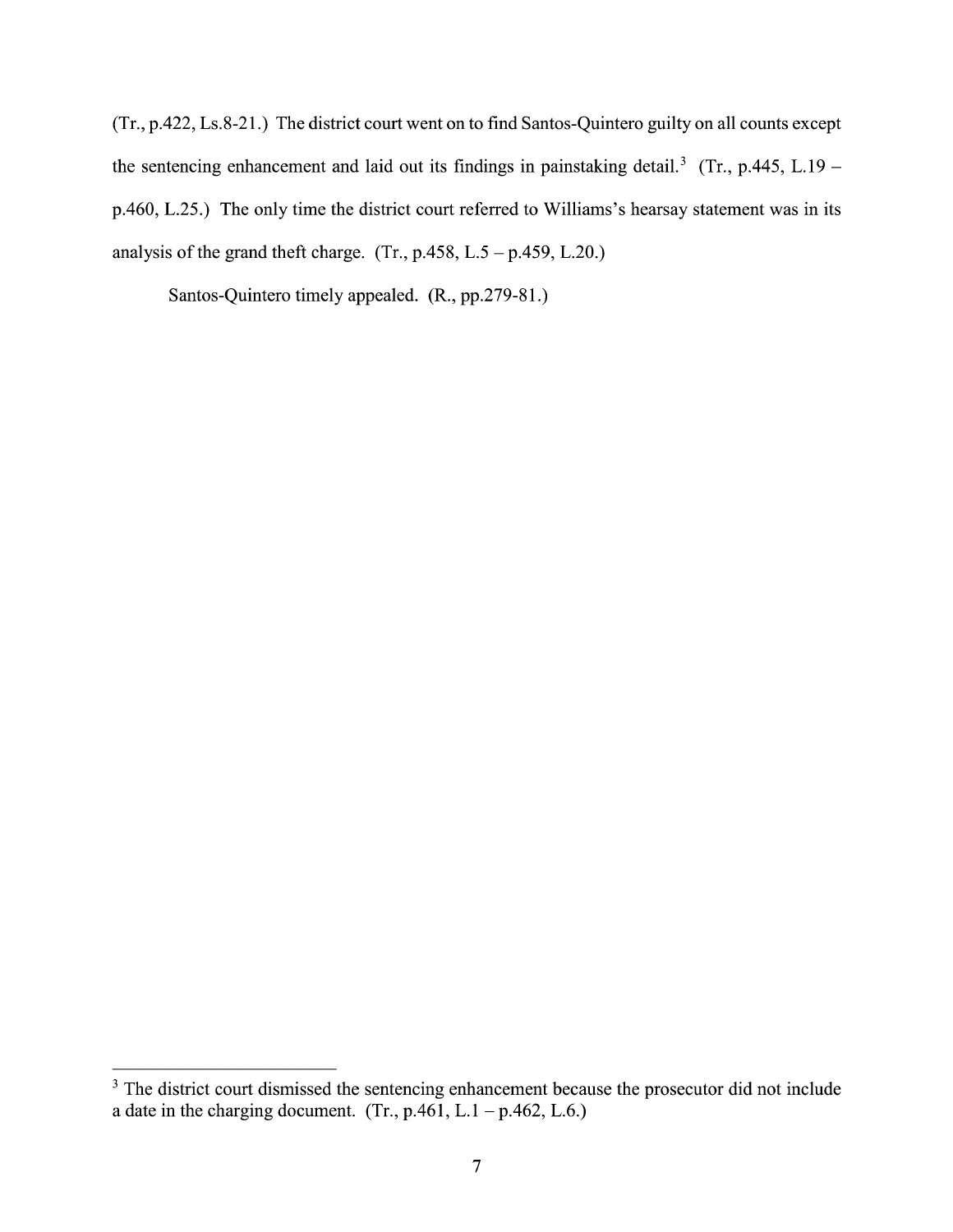(Tr., p.422, Ls.8-21.) The district court went on to find Santos-Quintero guilty on all counts except the sentencing enhancement and laid out its findings in painstaking detail.<sup>3</sup> (Tr., p.445, L.19 – p.460, L.25.) The only time the district court referred to Williams's hearsay statement was in its analysis of the grand theft charge. (Tr.,  $p.458$ , L.5 –  $p.459$ , L.20.)

Santos-Quintero timely appealed. (R., pp.279-81.)

<sup>&</sup>lt;sup>3</sup> The district court dismissed the sentencing enhancement because the prosecutor did not include a date in the charging document. (Tr., p.461, L.1 – p.462, L.6.)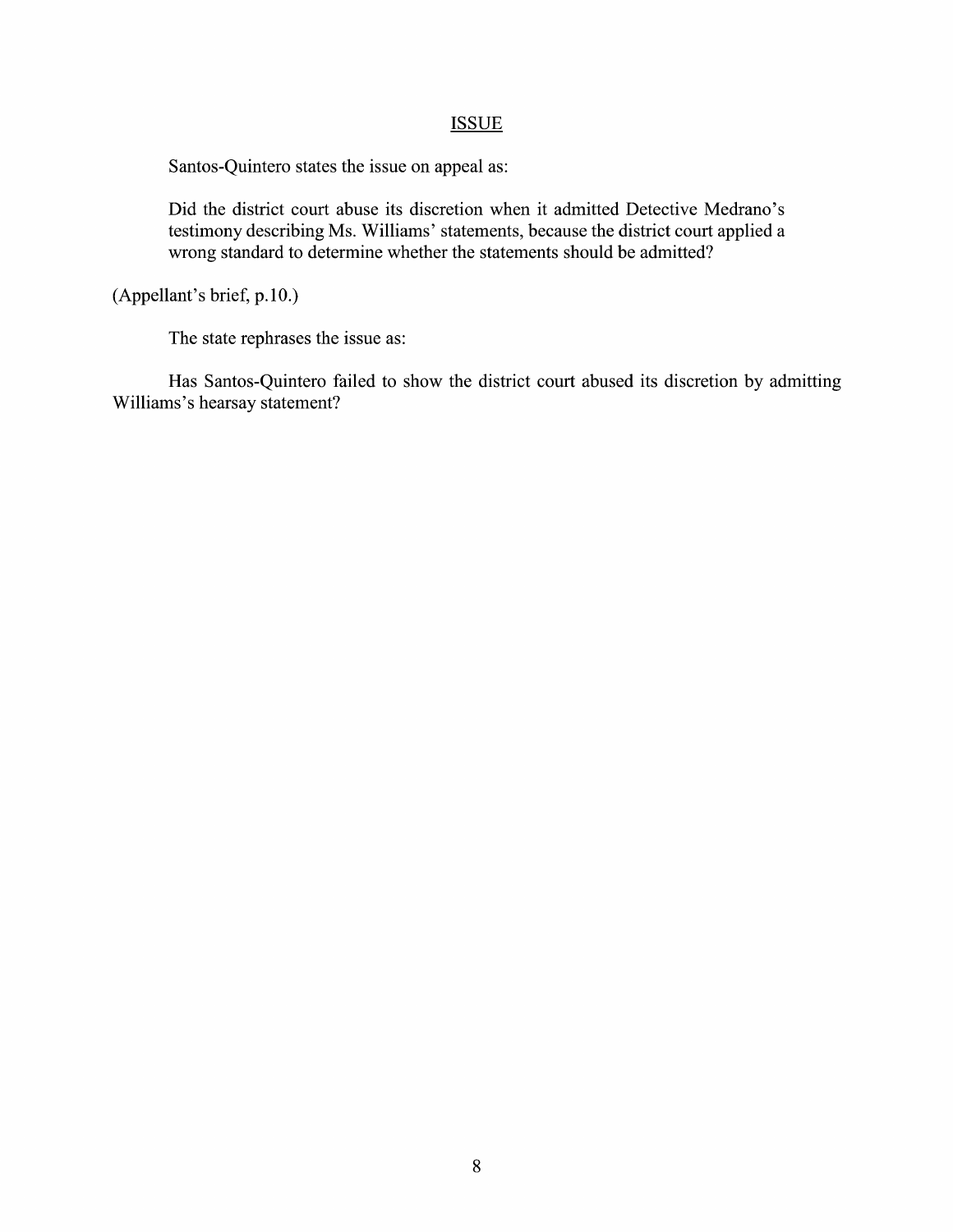### **ISSUE**

Santos-Quintero states the issue on appeal as:

Did the district court abuse its discretion When it admitted Detective Medrano's testimony describing Ms. Williams' statements, because the district court applied wrong standard to determine whether the statements should be admitted?

(Appellant's brief, p.10.)

The state rephrases the issue as:

Has Santos-Quintero failed to show the district court abused its discretion by admitting Williams's hearsay statement?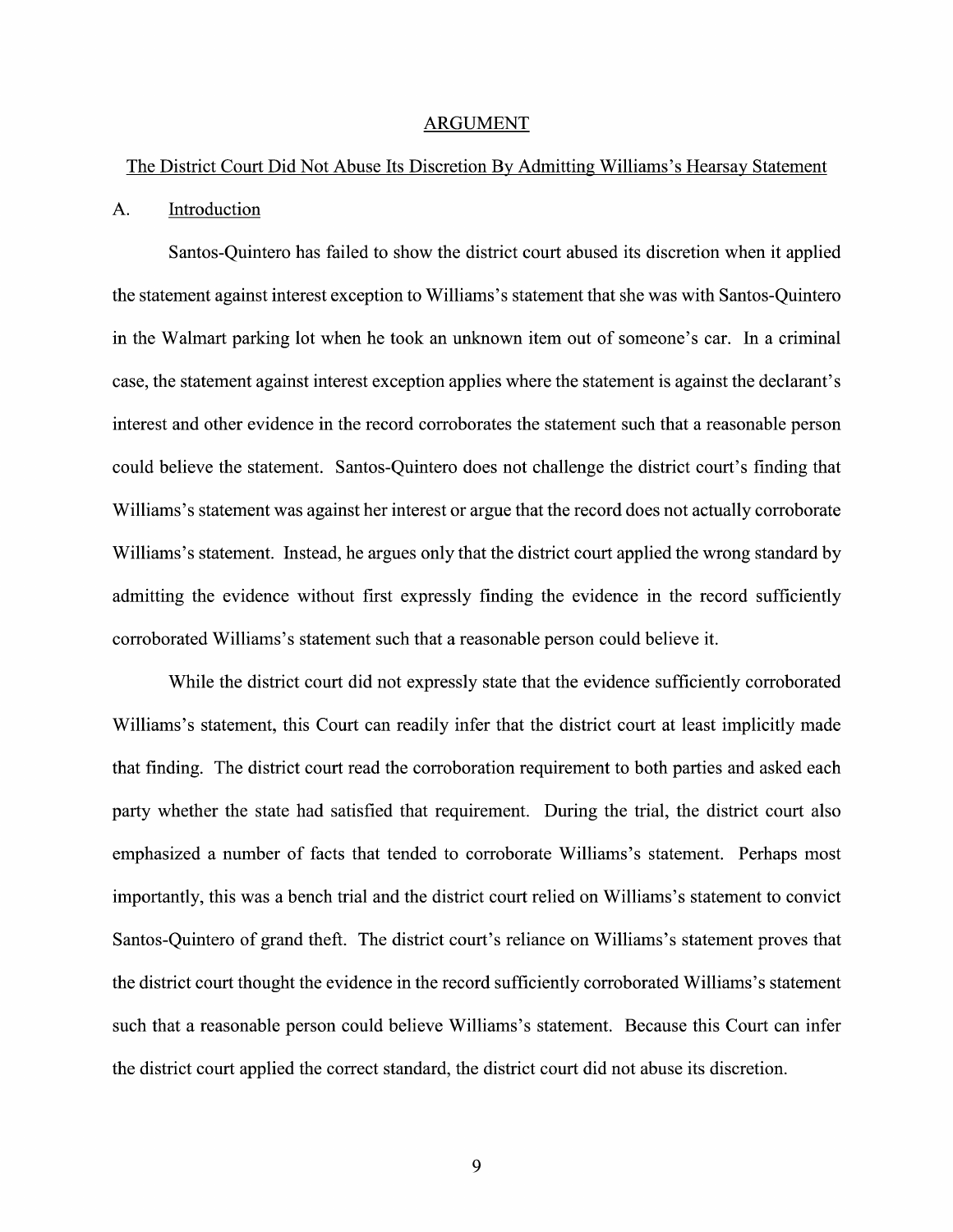#### ARGUMENT

#### The District Court Did Not Abuse Its Discretion BV Admitting Williams's Hearsay Statement

#### A. Introduction

Santos-Quintero has failed to show the district court abused its discretion when it applied the statement against interest exception t0 Williams's statement that she was With Santos—Quintero in the Walmart parking lot when he took an unknown item out of someone's car. In a criminal case, the statement against interest exception applies where the statement is against the declarant's interest and other evidence in the record corroborates the statement such that a reasonable person could believe the statement. Santos—Quintero does not challenge the district court's finding that Williams's statement was against her interest or argue that the record does not actually corroborate Williams's statement. Instead, he argues only that the district court applied the wrong standard by admitting the evidence without first expressly finding the evidence in the record sufficiently corroborated Williams's statement such that a reasonable person could believe it.

While the district court did not expressly state that the evidence sufficiently corroborated Williams's statement, this Court can readily infer that the district court at least implicitly made that finding. The district court read the corroboration requirement t0 both parties and asked each party Whether the state had satisfied that requirement. During the trial, the district court also emphasized a number of facts that tended to corroborate Williams's statement. Perhaps most importantly, this was a bench trial and the district court relied on Williams's statement to convict Santos—Quintero of grand theft. The district court's reliance 0n Williams's statement proves that the district court thought the evidence in the record sufficiently corroborated Williams's statement such that a reasonable person could believe Williams's statement. Because this Court can infer the district court applied the correct standard, the district court did not abuse its discretion.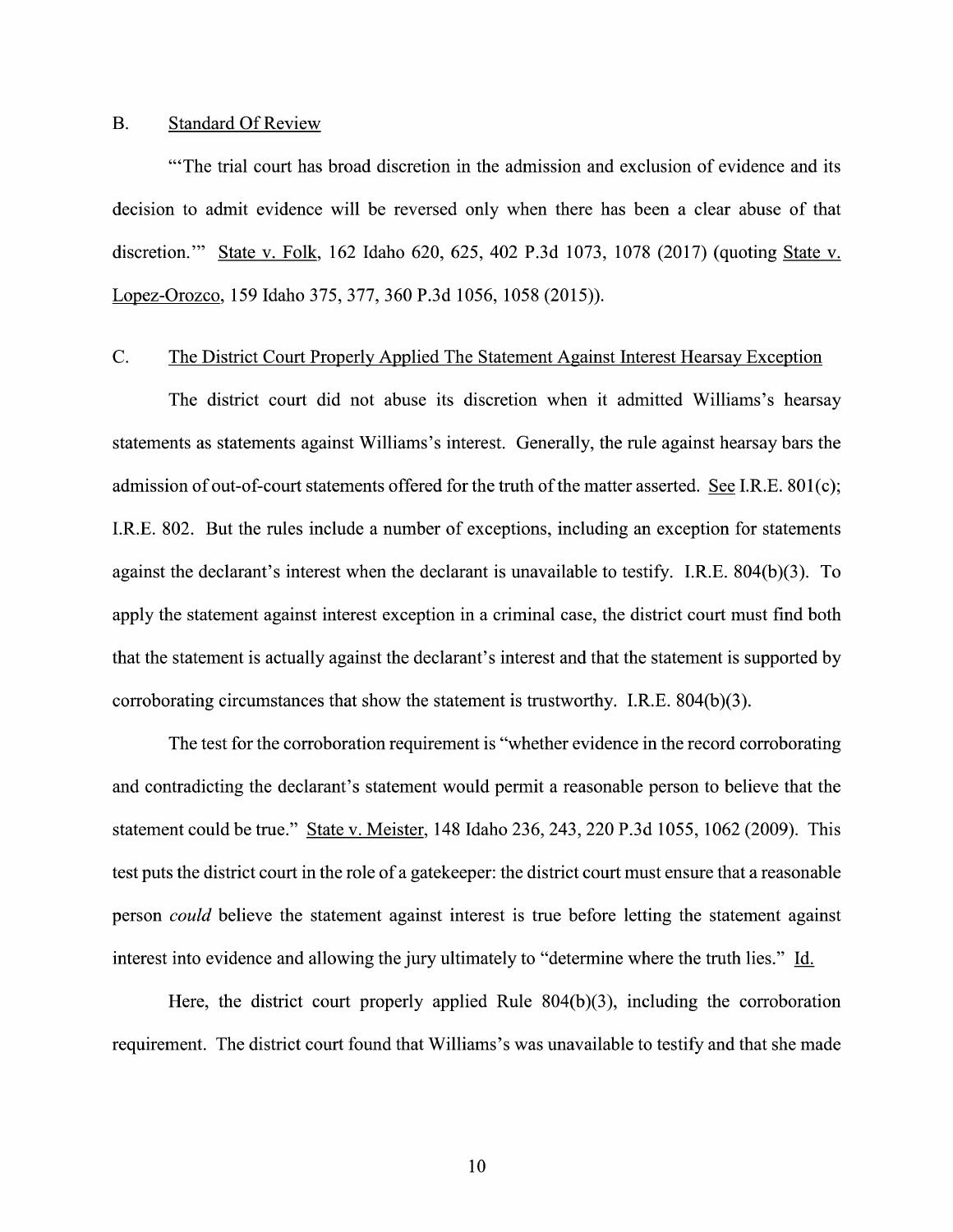#### B. Standard Of Review

"'The trial court has broad discretion in the admission and exclusion of evidence and its decision to admit evidence will be reversed only when there has been a clear abuse of that discretion."' State V. Folk, <sup>162</sup> Idaho 620, 625, <sup>402</sup> P.3d 1073, <sup>1078</sup> (2017) (quoting State V. Lopez-Orozco, <sup>159</sup> Idaho 375, 377, <sup>360</sup> P.3d 1056, <sup>1058</sup> (2015)).

#### C. The District Court Properly Applied The Statement Against Interest Hearsay Exception

The district court did not abuse its discretion When it admitted Williams's hearsay statements as statements against Williams's interest. Generally, the rule against hearsay bars the admission of out-of-court statements offered for the truth of the matter asserted. See I.R.E. 801(c); I.R.E. 802. But the rules include a number of exceptions, including an exception for statements against the declarant's interest when the declarant is unavailable to testify. I.R.E. 804(b)(3). To apply the statement against interest exception in a criminal case, the district court must find both that the statement is actually against the declarant's interest and that the statement is supported by corroborating circumstances that show the statement is trustworthy. I.R.E. 804(b)(3).

The test for the corroboration requirement is "Whether evidence in the record corroborating and contradicting the declarant's statement would permit a reasonable person to believe that the statement could be true." State V. Meister, 148 Idaho 236, 243, 220 P.3d 1055, 1062 (2009). This test puts the district court in the role of a gatekeeper: the district court must ensure that a reasonable person *could* believe the statement against interest is true before letting the statement against interest into evidence and allowing the jury ultimately to "determine where the truth lies." Id.

Here, the district court properly applied Rule 804(b)(3), including the corroboration requirement. The district court found that Williams's was unavailable to testify and that she made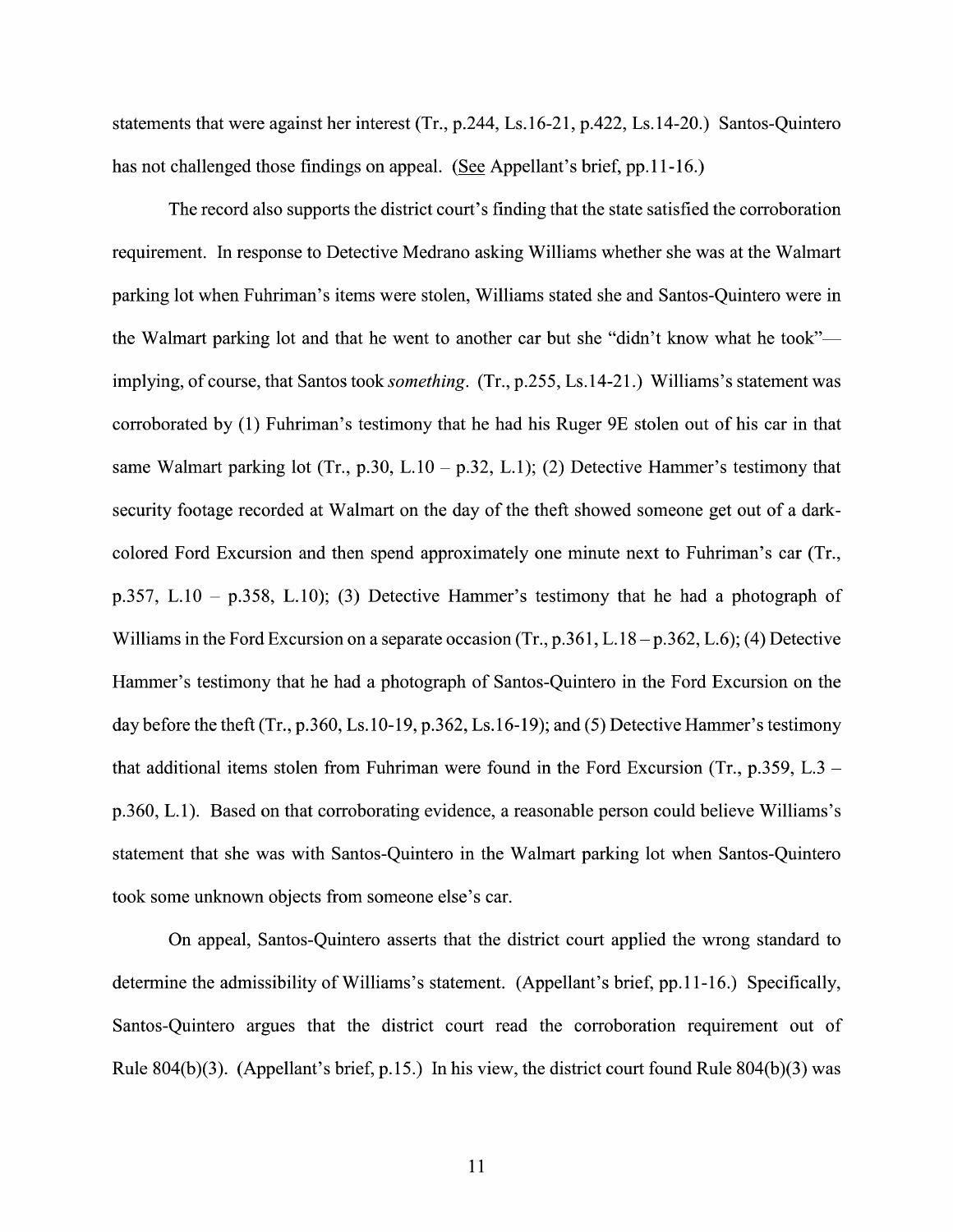statements that were against her interest  $(Tr, p.244, Ls.16-21, p.422, Ls.14-20)$  Santos-Quintero has not challenged those findings on appeal. (See Appellant's brief, pp.11-16.)

The record also supports the district court's finding that the state satisfied the corroboration requirement. In response to Detective Medrano asking Williams whether she was at the Walmart parking lot when Fuhriman's items were stolen, Williams stated she and Santos—Quintero were in the Walmart parking lot and that he went to another car but she "didn't know what he took" implying, of course, that Santos took *something*. (Tr., p.255, Ls.14-21.) Williams's statement was corroborated by (1) Fuhriman's testimony that he had his Ruger 9E stolen out of his car in that same Walmart parking lot (Tr., p.30, L.10 – p.32, L.1); (2) Detective Hammer's testimony that security footage recorded at Walmart on the day of the theft showed someone get out of a darkcolored Ford Excursion and then spend approximately one minute next to Fuhriman's car (Tr., p.357, L.10 – p.358, L.10); (3) Detective Hammer's testimony that he had a photograph of Williams in the Ford Excursion on a separate occasion (Tr., p.361, L.18 – p.362, L.6); (4) Detective Hammer's testimony that he had a photograph of Santos-Quintero in the Ford Excursion on the day before the theft (Tr., p.360, Ls.10-19, p.362, Ls.16-19); and (5) Detective Hammer's testimony that additional items stolen from Fuhriman were found in the Ford Excursion (Tr., p.359, L.3 –  $p.360, L.1$ ). Based on that corroborating evidence, a reasonable person could believe Williams's statement that she was with Santos-Quintero in the Walmart parking lot when Santos-Quintero took some unknown objects from someone else's car.

On appeal, Santos—Quintero asserts that the district court applied the wrong standard t0 determine the admissibility of Williams's statement. (Appellant's brief, pp.1 1-16.) Specifically, Santos-Quintero argues that the district court read the corroboration requirement out 0f Rule 804(b)(3). (Appellant's brief, p.15.) In his view, the district court found Rule 804(b)(3) was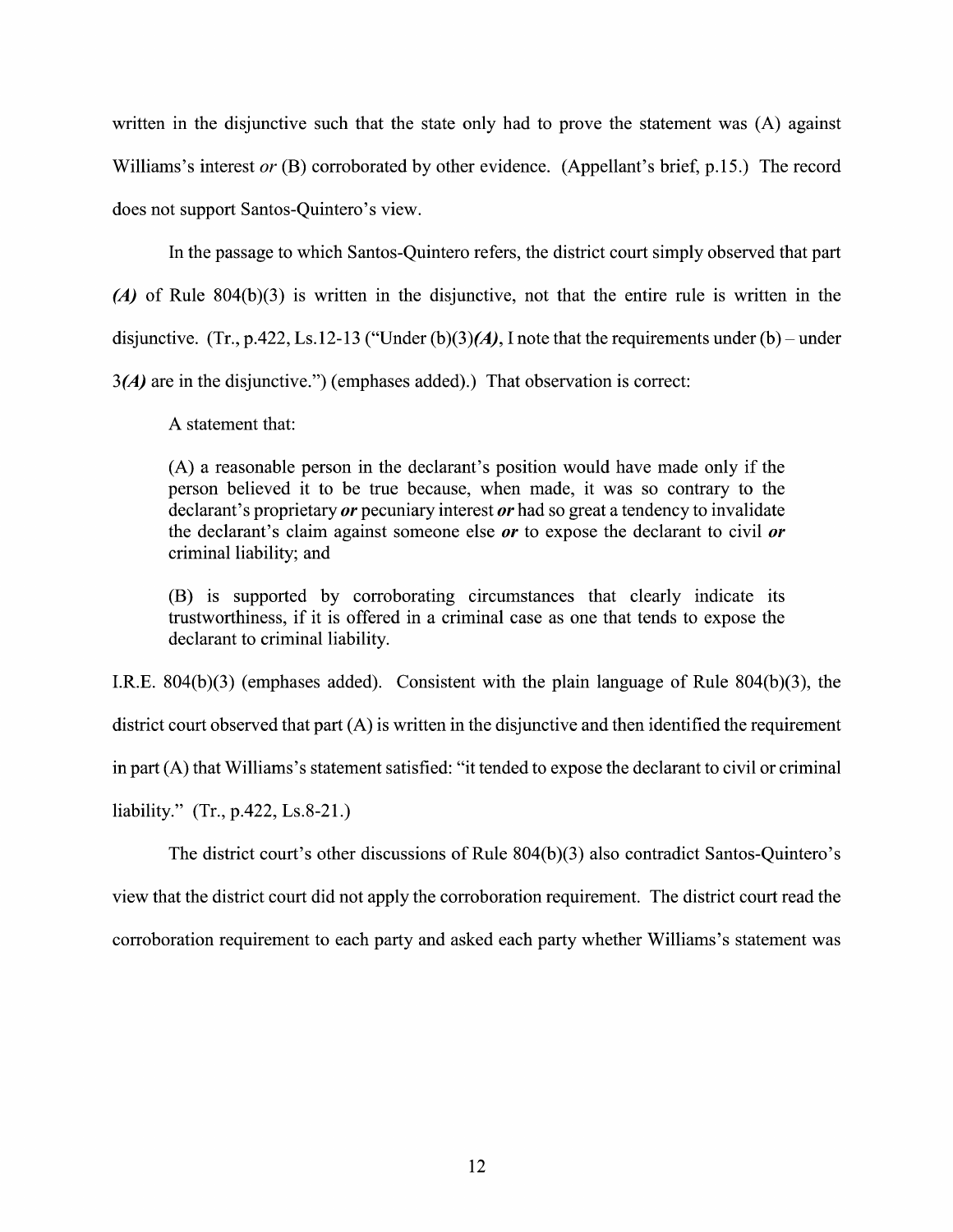written in the disjunctive such that the state only had to prove the statement was (A) against Williams's interest or (B) corroborated by other evidence. (Appellant's brief, p.15.) The record does not support Santos-Quintero's View.

In the passage to which Santos-Quintero refers, the district court simply observed that part (A) of Rule  $804(b)(3)$  is written in the disjunctive, not that the entire rule is written in the disjunctive. (Tr., p.422, Ls.12-13 ("Under (b)(3)(A), I note that the requirements under (b) – under 3(A) are in the disjunctive.") (emphases added).) That observation is correct:

A statement that:

 $(A)$  a reasonable person in the declarant's position would have made only if the person believed it to be true because, when made, it was so contrary to the declarant's proprietary  $or$  pecuniary interest  $or$  had so great a tendency to invalidate the declarant's claim against someone else  $or$  to expose the declarant to civil  $or$ criminal liability; and

(B) is supported by corroborating circumstances that clearly indicate its trustworthiness, if it is offered in a criminal case as one that tends to expose the declarant to criminal liability.

I.R.E. 804(b)(3) (emphases added). Consistent With the plain language of Rule 804(b)(3), the

district court observed that part (A) is written in the disjunctive and then identified the requirement

in part  $(A)$  that Williams's statement satisfied: "it tended to expose the declarant to civil or criminal

liability." (Tr., p.422, Ls.8-21.)

The district court's other discussions of Rule 804(b)(3) also contradict Santos-Quintero's View that the district court did not apply the corroboration requirement. The district court read the

corroboration requirement to each party and asked each party whether Williams's statement was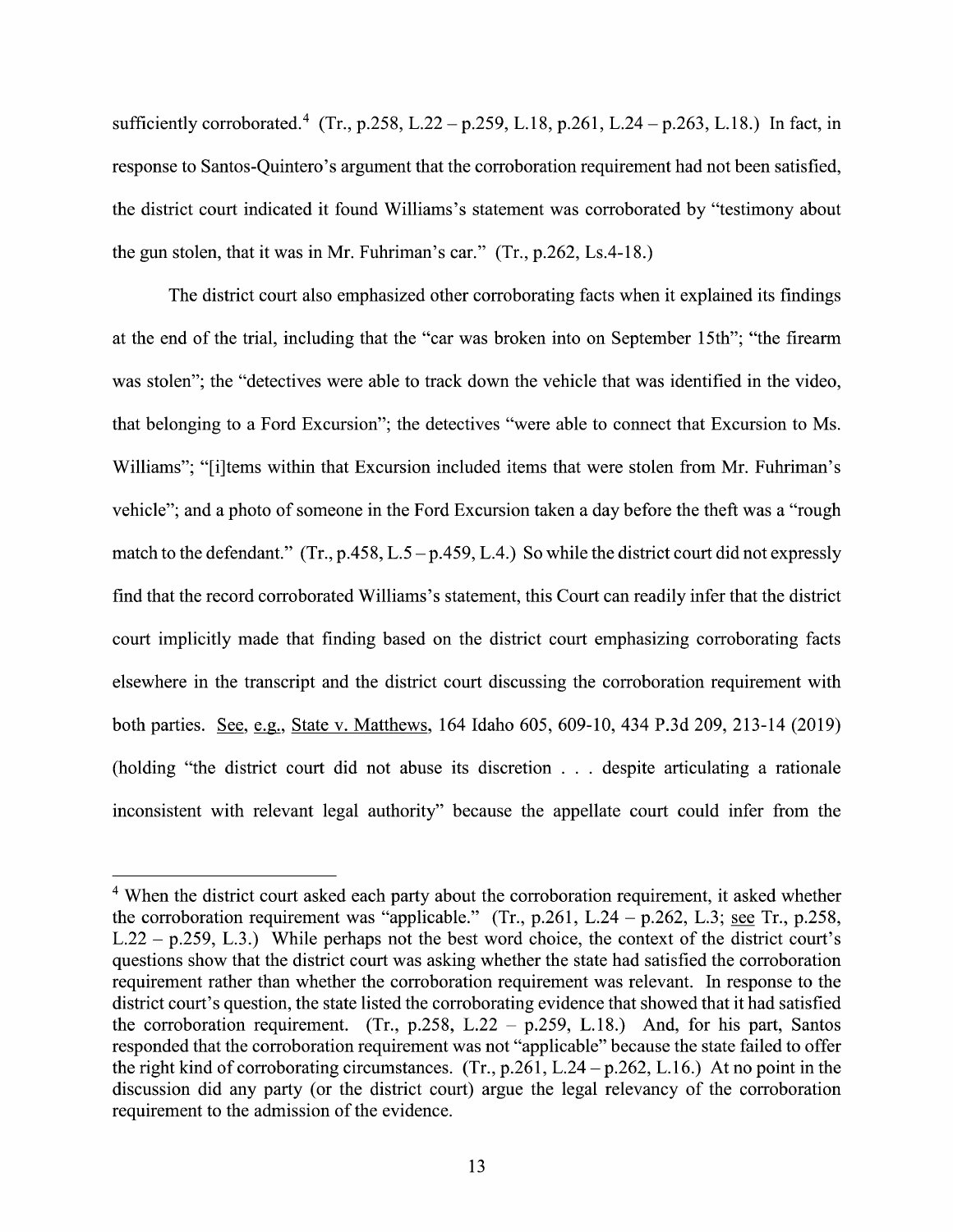sufficiently corroborated.<sup>4</sup> (Tr., p.258, L.22 – p.259, L.18, p.261, L.24 – p.263, L.18.) In fact, in response to Santos-Quintero's argument that the corroboration requirement had not been satisfied, the district court indicated it found Williams's statement was corroborated by "testimony about the gun stolen, that it was in Mr. Fuhriman's car."  $(Tr, p.262, Ls.4-18.)$ 

The district court also emphasized other corroborating facts when it explained its findings at the end of the trial, including that the "car was broken into on September 15th"; "the firearm was stolen"; the "detectives were able to track down the vehicle that was identified in the video, that belonging to a Ford Excursion"; the detectives "were able to connect that Excursion to Ms. Williams"; "[i]tems within that Excursion included items that were stolen from Mr. Fuhriman's vehicle"; and a photo of someone in the Ford Excursion taken a day before the theft was a "rough" match to the defendant." (Tr., p.458, L.5 – p.459, L.4.) So while the district court did not expressly find that the record corroborated Williams's statement, this Court can readily infer that the district court implicitly made that finding based 0n the district court emphasizing corroborating facts elsewhere in the transcript and the district court discussing the corroboration requirement with both parties. See, e.g., State v. Matthews, 164 Idaho 605, 609-10, 434 P.3d 209, 213-14 (2019) (holding "the district court did not abuse its discretion  $\ldots$  despite articulating a rationale inconsistent with relevant legal authority" because the appellate court could infer from the

<sup>&</sup>lt;sup>4</sup> When the district court asked each party about the corroboration requirement, it asked whether the corroboration requirement was "applicable." (Tr., p.261, L.24 – p.262, L.3; see Tr., p.258, L.22 - p.259, L.3.) While perhaps not the best word choice, the context of the district court's questions show that the district court was asking Whether the state had satisfied the corroboration requirement rather than whether the corroboration requirement was relevant. In response to the district court's question, the state listed the corroborating evidence that showed that it had satisfied the corroboration requirement. (Tr., p.258, L.22 – p.259, L.18.) And, for his part, Santos responded that the corroboration requirement was not "applicable" because the state failed to offer the right kind of corroborating circumstances. (Tr.,  $p.261$ , L.24 –  $p.262$ , L.16.) At no point in the discussion did any party (0r the district court) argue the legal relevancy of the corroboration requirement to the admission of the evidence.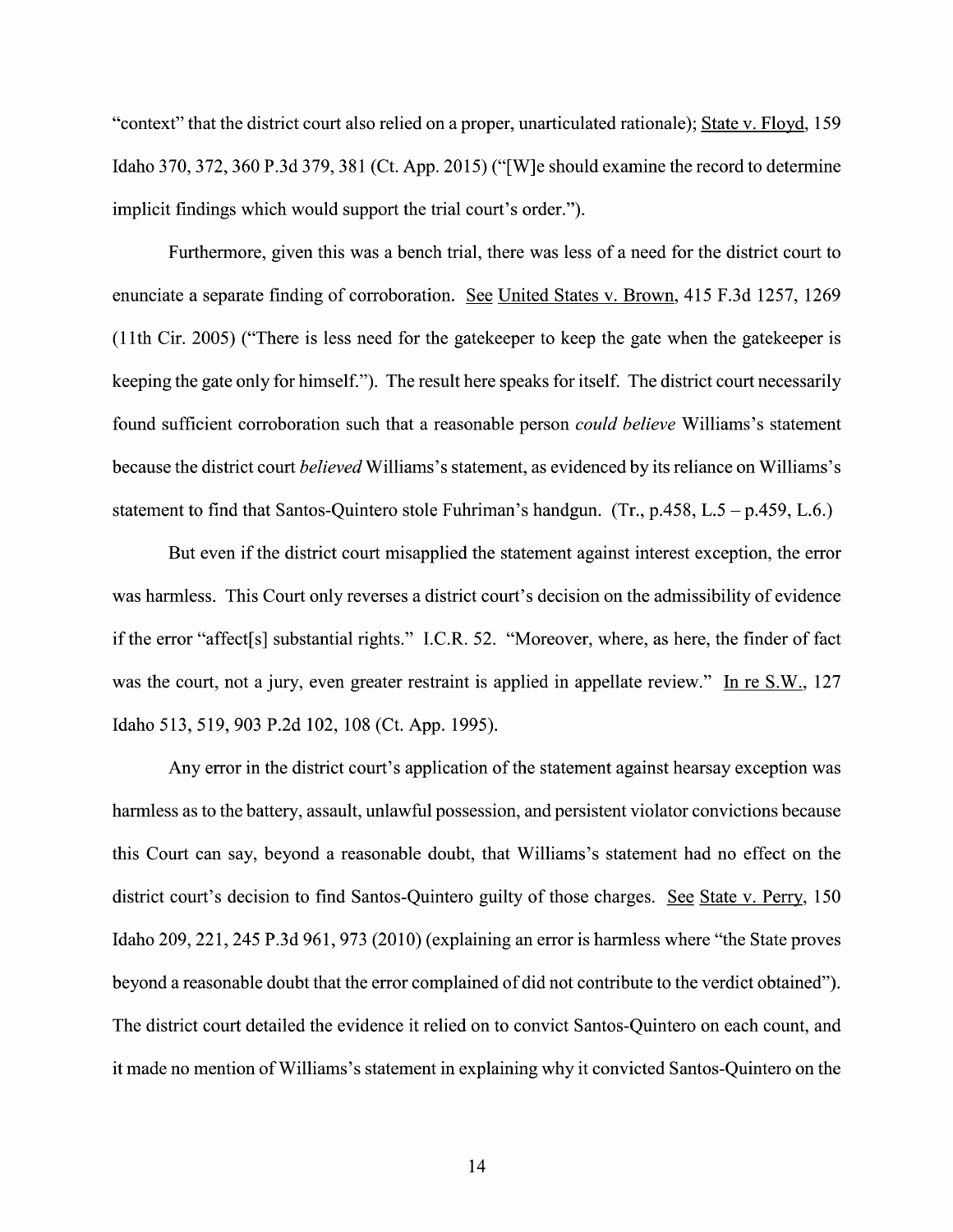"context" that the district court also relied on a proper, unarticulated rationale); State v. Floyd, 159 Idaho 370, 372, 360 P.3d 379, 381 (Ct. App. 2015) ("[W]e should examine the record t0 determine implicit findings which would support the trial court's order.").

Furthermore, given this was a bench trial, there was less of a need for the district court to enunciate a separate finding of corroboration. See United States v. Brown, 415 F.3d 1257, 1269 (1 1th Cir. 2005) ("There is less need for the gatekeeper to keep the gate When the gatekeeper is keeping the gate only for himself."). The result here speaks for itself. The district court necessarily found sufficient corroboration such that a reasonable person *could believe* Williams's statement because the district court *believed* Williams's statement, as evidenced by its reliance on Williams's statement to find that Santos-Quintero stole Fuhriman's handgun. (Tr., p.458, L.5 – p.459, L.6.)

But even if the district court misapplied the statement against interest exception, the error was harmless. This Court only reverses a district court's decision on the admissibility of evidence if the error "affect[s] substantial rights." I.C.R. 52. "Moreover, where, as here, the finder of fact was the court, not a jury, even greater restraint is applied in appellate review." In re  $S.W., 127$ Idaho 513, 519, <sup>903</sup> P.2d 102, <sup>108</sup> (Ct. App. 1995).

Any error in the district court's application 0f the statement against hearsay exception was harmless as to the battery, assault, unlawful possession, and persistent violator convictions because this Court can say, beyond a reasonable doubt, that Williams's statement had no effect on the district court's decision to find Santos-Quintero guilty of those charges. See State v. Perry, 150 Idaho 209, 221, 245 P.3d 961, 973 (2010) (explaining an error is harmless Where "the State proves beyond a reasonable doubt that the error complained of did not contribute to the verdict obtained"). The district court detailed the evidence it relied on to convict Santos-Quintero on each count, and it made no mention of Williams's statement in explaining why it convicted Santos-Quintero on the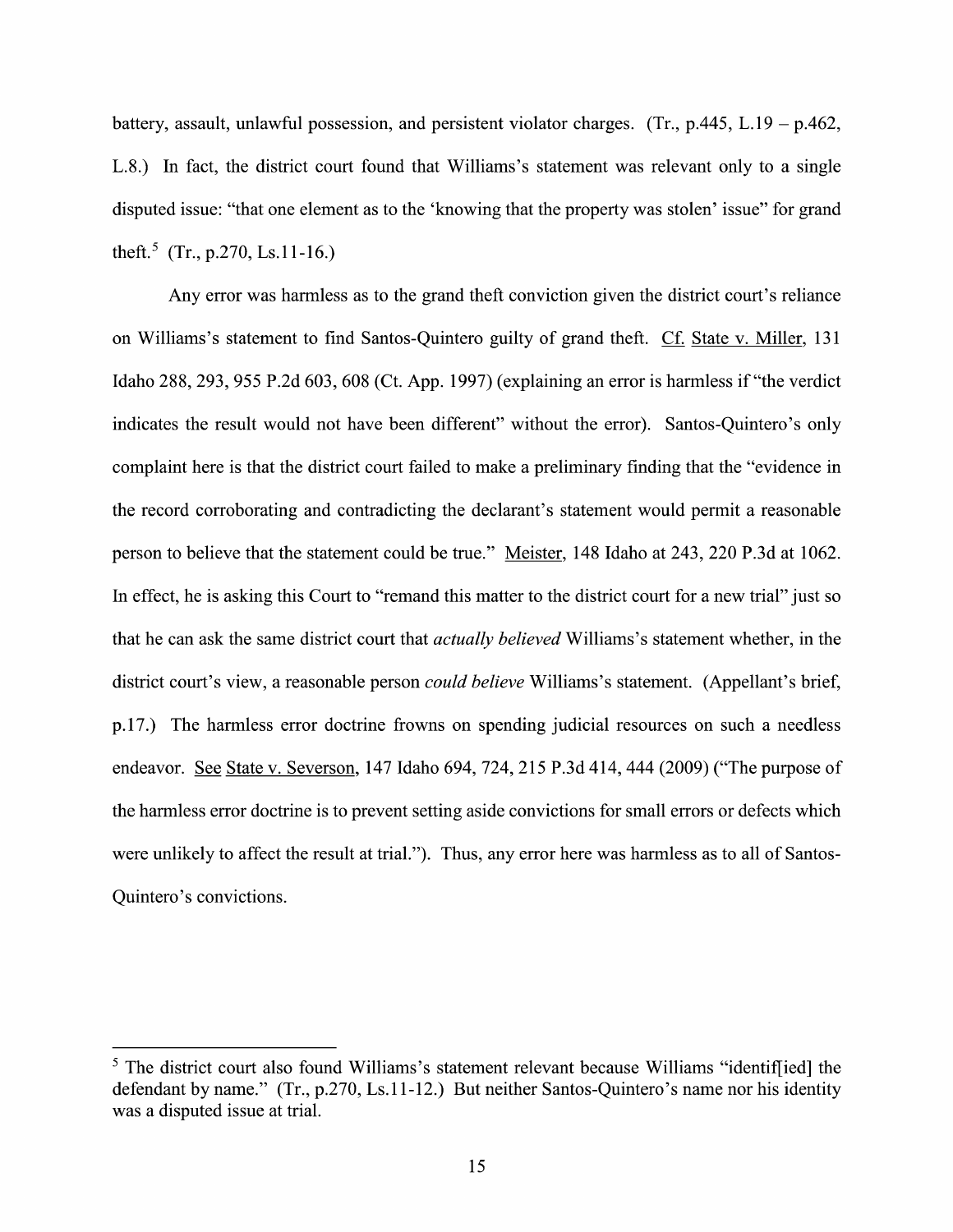battery, assault, unlawful possession, and persistent violator charges. (Tr., p.445, L.19 – p.462, L.8.) In fact, the district court found that Williams's statement was relevant only to a single disputed issue: "that one element as t0 the 'knowing that the property was stolen' issue" for grand theft.<sup>5</sup> (Tr., p.270, Ls.11-16.)

Any error was harmless as to the grand theft conviction given the district court's reliance on Williams's statement to find Santos-Quintero guilty of grand theft. Cf. State v. Miller, 131 Idaho 288, 293, 955 P.2d 603, 608 (Ct. App. 1997) (explaining an error is harmless if "the verdict indicates the result would not have been different" without the error). Santos-Quintero's only complaint here is that the district court failed to make a preliminary finding that the "evidence in the record corroborating and contradicting the declarant's statement would permit a reasonable person to believe that the statement could be true." Meister, 148 Idaho at 243, 220 P.3d at 1062. In effect, he is asking this Court to "remand this matter to the district court for a new trial" just so that he can ask the same district court that actually believed Williams's statement whether, in the district court's view, a reasonable person *could believe* Williams's statement. (Appellant's brief, p.17.) The harmless error doctrine frowns on spending judicial resources on such a needless endeavor. See State v. Severson, 147 Idaho 694, 724, 215 P.3d 414, 444 (2009) ("The purpose of the harmless error doctrine is to prevent setting aside convictions for small errors or defects which were unlikely to affect the result at trial."). Thus, any error here was harmless as to all 0f Santos-Quintero's convictions.

 $<sup>5</sup>$  The district court also found Williams's statement relevant because Williams "identiffied] the</sup> defendant by name." (Tr., p.270, Ls.11-12.) But neither Santos-Quintero's name nor his identity The district court also found<br>defendant by name." (Tr., p.27<br>was a disputed issue at trial.